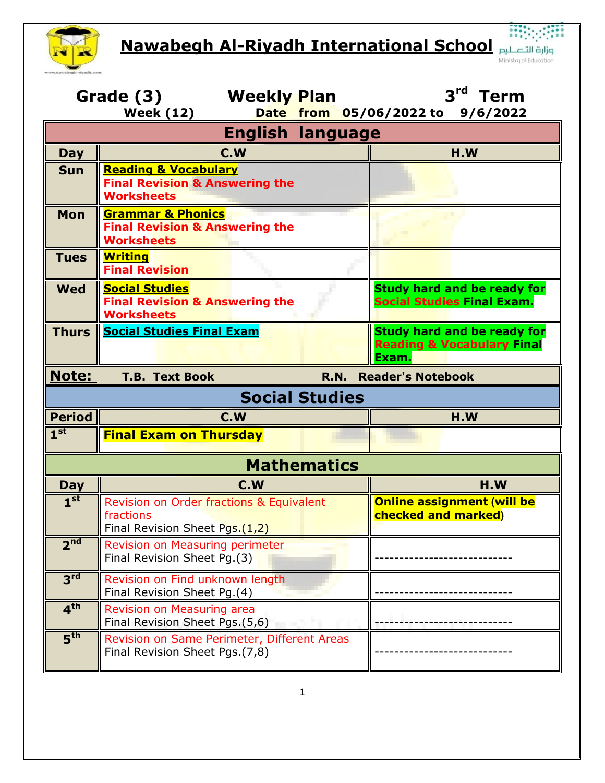**Nawabegh Al-Riyadh International School**



| 3 <sup>rd</sup><br><b>Term</b><br>Grade (3)<br><b>Weekly Plan</b><br><b>Week (12)</b><br>from 05/06/2022 to 9/6/2022<br><b>Date</b> |                                                                                                   |                                                                                      |  |  |  |
|-------------------------------------------------------------------------------------------------------------------------------------|---------------------------------------------------------------------------------------------------|--------------------------------------------------------------------------------------|--|--|--|
| <b>English language</b>                                                                                                             |                                                                                                   |                                                                                      |  |  |  |
| Day                                                                                                                                 | C.W                                                                                               | H.W                                                                                  |  |  |  |
| <b>Sun</b>                                                                                                                          | <b>Reading &amp; Vocabulary</b><br><b>Final Revision &amp; Answering the</b><br><b>Worksheets</b> |                                                                                      |  |  |  |
| <b>Mon</b>                                                                                                                          | <b>Grammar &amp; Phonics</b><br><b>Final Revision &amp; Answering the</b><br><b>Worksheets</b>    |                                                                                      |  |  |  |
| <b>Tues</b>                                                                                                                         | <b>Writing</b><br><b>Final Revision</b>                                                           |                                                                                      |  |  |  |
| <b>Wed</b>                                                                                                                          | <b>Social Studies</b><br><b>Final Revision &amp; Answering the</b><br><b>Worksheets</b>           | <b>Study hard and be ready for</b><br>Social Studies Final Exam.                     |  |  |  |
| <b>Thurs</b>                                                                                                                        | <b>Social Studies Final Exam</b>                                                                  | <b>Study hard and be ready for</b><br><b>Reading &amp; Vocabulary Final</b><br>Exam. |  |  |  |
| <b>Note:</b><br><b>T.B. Text Book</b><br><b>Reader's Notebook</b><br><b>R.N.</b>                                                    |                                                                                                   |                                                                                      |  |  |  |
| <b>Social Studies</b>                                                                                                               |                                                                                                   |                                                                                      |  |  |  |
| <b>Period</b>                                                                                                                       | C.W                                                                                               | H.W                                                                                  |  |  |  |
| 1 <sup>st</sup>                                                                                                                     | <b>Final Exam on Thursday</b>                                                                     |                                                                                      |  |  |  |
| <b>Mathematics</b>                                                                                                                  |                                                                                                   |                                                                                      |  |  |  |
| <b>Day</b>                                                                                                                          | C.W                                                                                               | H.W                                                                                  |  |  |  |
| 1 <sup>st</sup>                                                                                                                     | Revision on Order fractions & Equivalent<br>fractions<br>Final Revision Sheet Pgs.(1,2)           | <b>Online assignment (will be</b><br>checked and marked)                             |  |  |  |
| 2 <sup>nd</sup>                                                                                                                     | Revision on Measuring perimeter<br>Final Revision Sheet Pg.(3)                                    |                                                                                      |  |  |  |
| 3 <sup>rd</sup>                                                                                                                     | Revision on Find unknown length<br>Final Revision Sheet Pg.(4)                                    |                                                                                      |  |  |  |
| 4 <sup>th</sup>                                                                                                                     | Revision on Measuring area<br>Final Revision Sheet Pgs.(5,6)                                      |                                                                                      |  |  |  |
| 5 <sup>th</sup>                                                                                                                     | Revision on Same Perimeter, Different Areas<br>Final Revision Sheet Pgs.(7,8)                     |                                                                                      |  |  |  |